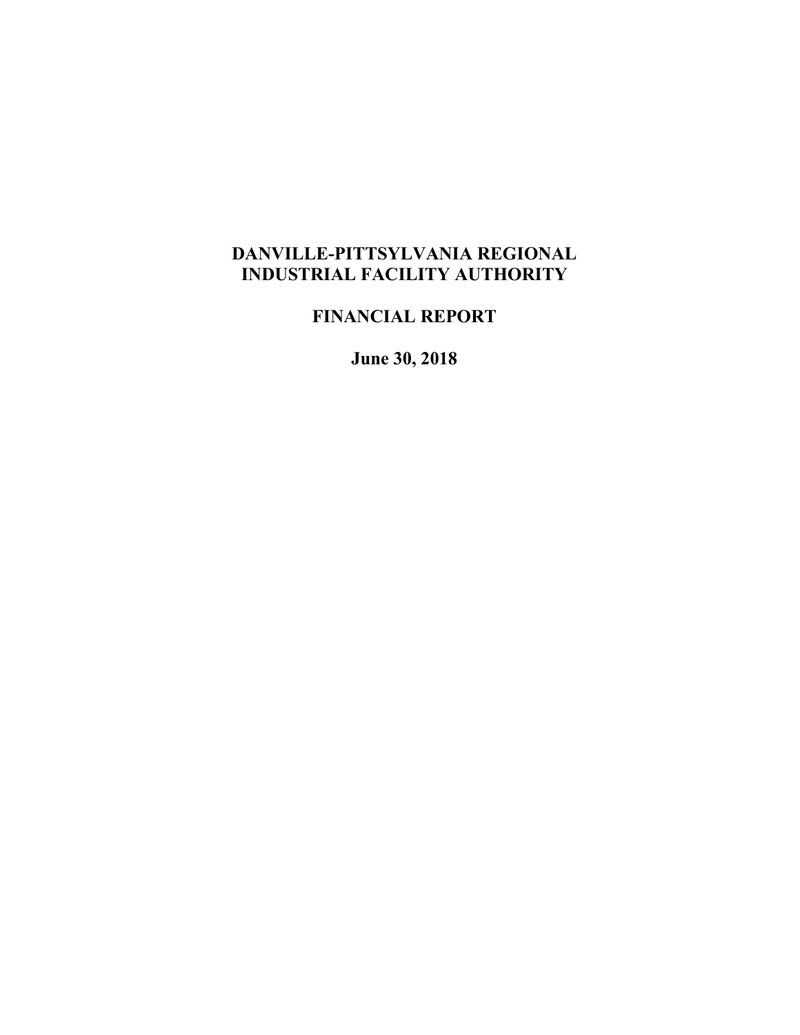# **DANVILLE-PITTSYLVANIA REGIONAL INDUSTRIAL FACILITY AUTHORITY**

**FINANCIAL REPORT**

**June 30, 2018**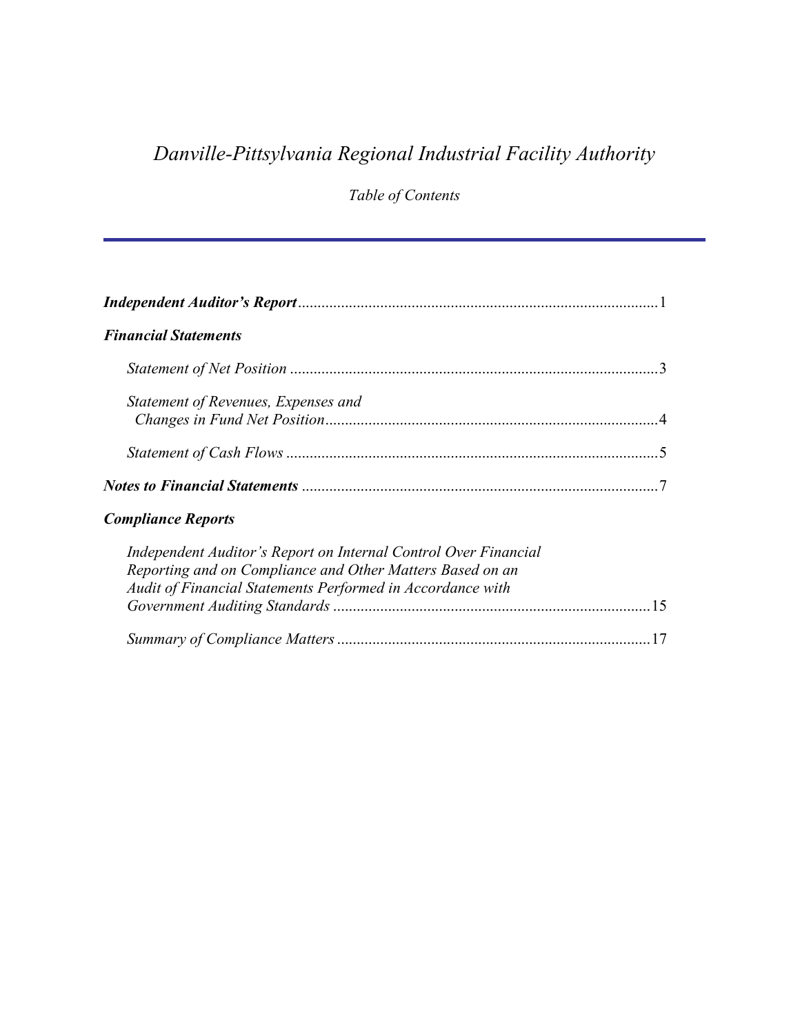# *Danville-Pittsylvania Regional Industrial Facility Authority*

*Table of Contents*

| <b>Financial Statements</b>                                                                                                                                                                |
|--------------------------------------------------------------------------------------------------------------------------------------------------------------------------------------------|
|                                                                                                                                                                                            |
| Statement of Revenues, Expenses and                                                                                                                                                        |
|                                                                                                                                                                                            |
|                                                                                                                                                                                            |
| <b>Compliance Reports</b>                                                                                                                                                                  |
| Independent Auditor's Report on Internal Control Over Financial<br>Reporting and on Compliance and Other Matters Based on an<br>Audit of Financial Statements Performed in Accordance with |
|                                                                                                                                                                                            |
|                                                                                                                                                                                            |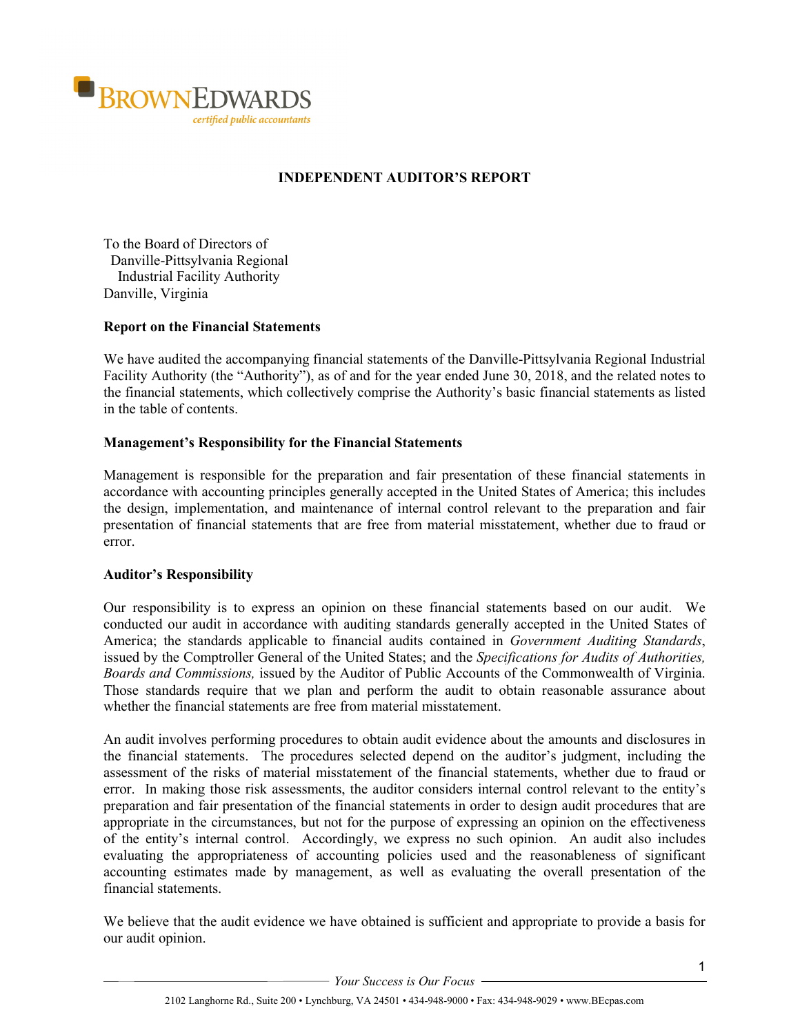

# **INDEPENDENT AUDITOR'S REPORT**

To the Board of Directors of Danville-Pittsylvania Regional Industrial Facility Authority Danville, Virginia

## **Report on the Financial Statements**

We have audited the accompanying financial statements of the Danville-Pittsylvania Regional Industrial Facility Authority (the "Authority"), as of and for the year ended June 30, 2018, and the related notes to the financial statements, which collectively comprise the Authority's basic financial statements as listed in the table of contents.

#### **Management's Responsibility for the Financial Statements**

Management is responsible for the preparation and fair presentation of these financial statements in accordance with accounting principles generally accepted in the United States of America; this includes the design, implementation, and maintenance of internal control relevant to the preparation and fair presentation of financial statements that are free from material misstatement, whether due to fraud or error.

#### **Auditor's Responsibility**

Our responsibility is to express an opinion on these financial statements based on our audit. We conducted our audit in accordance with auditing standards generally accepted in the United States of America; the standards applicable to financial audits contained in *Government Auditing Standards*, issued by the Comptroller General of the United States; and the *Specifications for Audits of Authorities, Boards and Commissions,* issued by the Auditor of Public Accounts of the Commonwealth of Virginia. Those standards require that we plan and perform the audit to obtain reasonable assurance about whether the financial statements are free from material misstatement.

An audit involves performing procedures to obtain audit evidence about the amounts and disclosures in the financial statements. The procedures selected depend on the auditor's judgment, including the assessment of the risks of material misstatement of the financial statements, whether due to fraud or error. In making those risk assessments, the auditor considers internal control relevant to the entity's preparation and fair presentation of the financial statements in order to design audit procedures that are appropriate in the circumstances, but not for the purpose of expressing an opinion on the effectiveness of the entity's internal control. Accordingly, we express no such opinion. An audit also includes evaluating the appropriateness of accounting policies used and the reasonableness of significant accounting estimates made by management, as well as evaluating the overall presentation of the financial statements.

We believe that the audit evidence we have obtained is sufficient and appropriate to provide a basis for our audit opinion.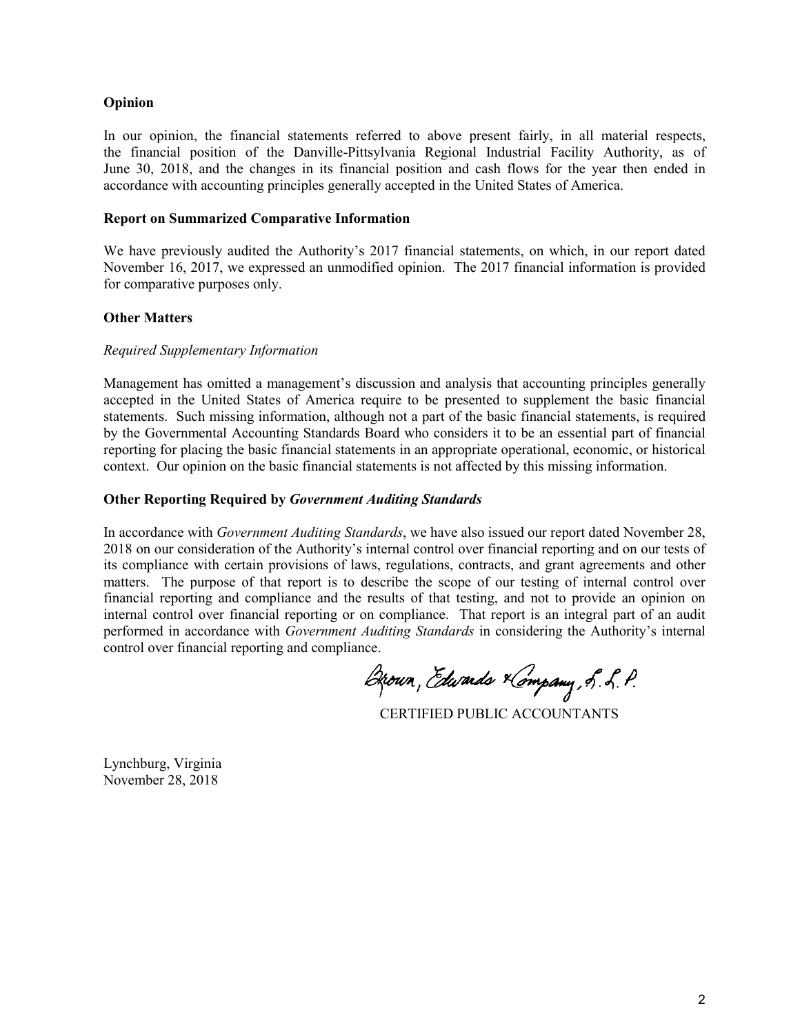## **Opinion**

In our opinion, the financial statements referred to above present fairly, in all material respects, the financial position of the Danville-Pittsylvania Regional Industrial Facility Authority, as of June 30, 2018, and the changes in its financial position and cash flows for the year then ended in accordance with accounting principles generally accepted in the United States of America.

#### **Report on Summarized Comparative Information**

We have previously audited the Authority's 2017 financial statements, on which, in our report dated November 16, 2017, we expressed an unmodified opinion. The 2017 financial information is provided for comparative purposes only.

#### **Other Matters**

#### *Required Supplementary Information*

Management has omitted a management's discussion and analysis that accounting principles generally accepted in the United States of America require to be presented to supplement the basic financial statements. Such missing information, although not a part of the basic financial statements, is required by the Governmental Accounting Standards Board who considers it to be an essential part of financial reporting for placing the basic financial statements in an appropriate operational, economic, or historical context. Our opinion on the basic financial statements is not affected by this missing information.

#### **Other Reporting Required by** *Government Auditing Standards*

In accordance with *Government Auditing Standards*, we have also issued our report dated November 28, 2018 on our consideration of the Authority's internal control over financial reporting and on our tests of its compliance with certain provisions of laws, regulations, contracts, and grant agreements and other matters. The purpose of that report is to describe the scope of our testing of internal control over financial reporting and compliance and the results of that testing, and not to provide an opinion on internal control over financial reporting or on compliance. That report is an integral part of an audit performed in accordance with *Government Auditing Standards* in considering the Authority's internal control over financial reporting and compliance.

Brown, Edwards Kompany, S. L. P.

CERTIFIED PUBLIC ACCOUNTANTS

Lynchburg, Virginia November 28, 2018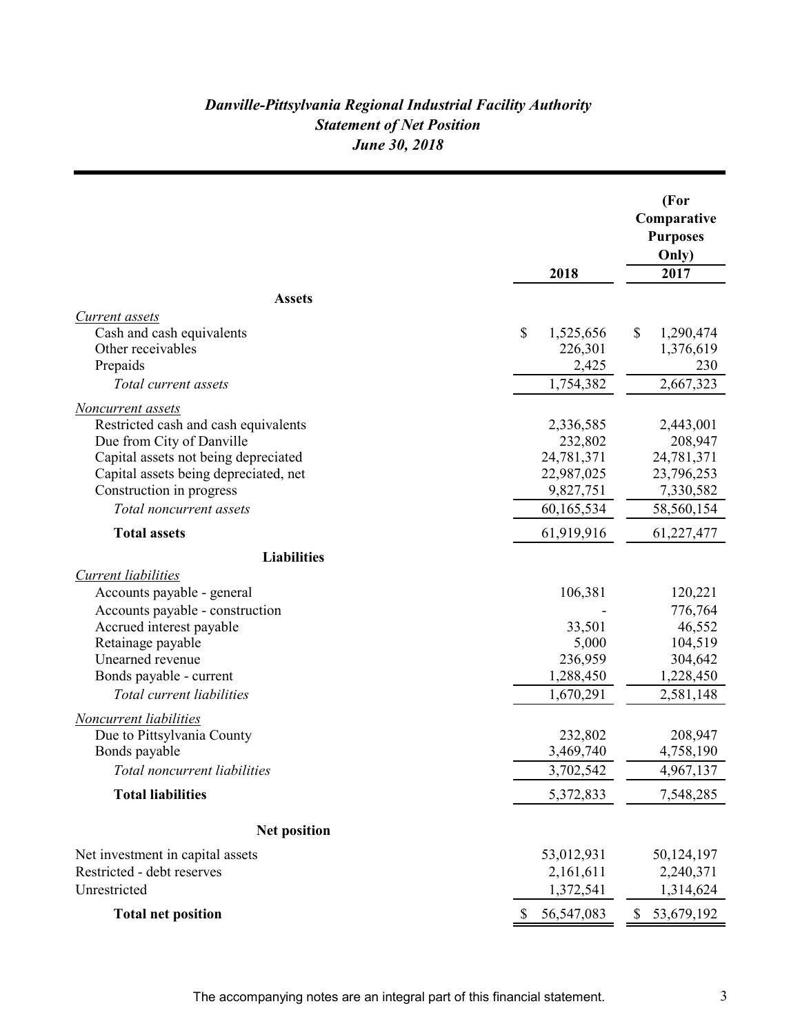# *Danville-Pittsylvania Regional Industrial Facility Authority June 30, 2018 Statement of Net Position*

| 2018                                                | (For<br>Comparative<br><b>Purposes</b><br>Only)<br>2017 |
|-----------------------------------------------------|---------------------------------------------------------|
| <b>Assets</b>                                       |                                                         |
| Current assets                                      |                                                         |
| Cash and cash equivalents<br>\$<br>1,525,656        | \$<br>1,290,474                                         |
| Other receivables<br>226,301                        | 1,376,619                                               |
| Prepaids<br>2,425                                   | 230                                                     |
| 1,754,382<br>Total current assets                   | 2,667,323                                               |
| Noncurrent assets                                   |                                                         |
| Restricted cash and cash equivalents<br>2,336,585   | 2,443,001                                               |
| Due from City of Danville<br>232,802                | 208,947                                                 |
| Capital assets not being depreciated<br>24,781,371  | 24,781,371                                              |
| Capital assets being depreciated, net<br>22,987,025 | 23,796,253                                              |
| Construction in progress<br>9,827,751               | 7,330,582                                               |
| 60,165,534<br>Total noncurrent assets               | 58,560,154                                              |
| <b>Total assets</b><br>61,919,916                   | 61,227,477                                              |
| <b>Liabilities</b>                                  |                                                         |
| <b>Current liabilities</b>                          |                                                         |
| Accounts payable - general<br>106,381               | 120,221                                                 |
| Accounts payable - construction                     | 776,764                                                 |
| Accrued interest payable<br>33,501                  | 46,552                                                  |
| Retainage payable<br>5,000                          | 104,519                                                 |
| Unearned revenue<br>236,959                         | 304,642                                                 |
| Bonds payable - current<br>1,288,450                | 1,228,450                                               |
| Total current liabilities<br>1,670,291              | 2,581,148                                               |
| Noncurrent liabilities                              |                                                         |
| Due to Pittsylvania County<br>232,802               | 208,947                                                 |
| Bonds payable<br>3,469,740                          | 4,758,190                                               |
| Total noncurrent liabilities<br>3,702,542           | 4,967,137                                               |
| <b>Total liabilities</b><br>5,372,833               | 7,548,285                                               |
| <b>Net position</b>                                 |                                                         |
| Net investment in capital assets<br>53,012,931      | 50,124,197                                              |
| Restricted - debt reserves<br>2,161,611             | 2,240,371                                               |
| Unrestricted<br>1,372,541                           | 1,314,624                                               |
| <b>Total net position</b><br>56,547,083             | 53,679,192<br>\$                                        |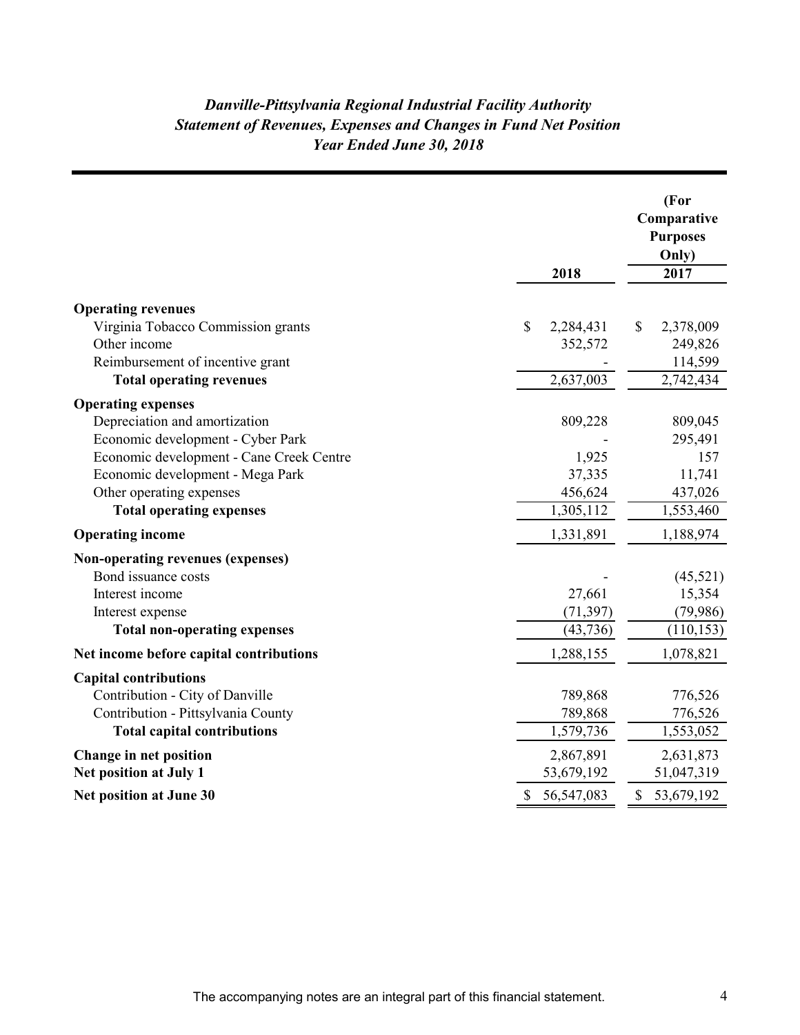# *Year Ended June 30, 2018 Danville-Pittsylvania Regional Industrial Facility Authority Statement of Revenues, Expenses and Changes in Fund Net Position*

|                                          | 2018             | (For<br>Comparative<br><b>Purposes</b><br>Only)<br>2017 |
|------------------------------------------|------------------|---------------------------------------------------------|
| <b>Operating revenues</b>                |                  |                                                         |
| Virginia Tobacco Commission grants       | \$<br>2,284,431  | \$<br>2,378,009                                         |
| Other income                             | 352,572          | 249,826                                                 |
| Reimbursement of incentive grant         |                  | 114,599                                                 |
| <b>Total operating revenues</b>          | 2,637,003        | 2,742,434                                               |
| <b>Operating expenses</b>                |                  |                                                         |
| Depreciation and amortization            | 809,228          | 809,045                                                 |
| Economic development - Cyber Park        |                  | 295,491                                                 |
| Economic development - Cane Creek Centre | 1,925            | 157                                                     |
| Economic development - Mega Park         | 37,335           | 11,741                                                  |
| Other operating expenses                 | 456,624          | 437,026                                                 |
| <b>Total operating expenses</b>          | 1,305,112        | 1,553,460                                               |
| <b>Operating income</b>                  | 1,331,891        | 1,188,974                                               |
| Non-operating revenues (expenses)        |                  |                                                         |
| Bond issuance costs                      |                  | (45,521)                                                |
| Interest income                          | 27,661           | 15,354                                                  |
| Interest expense                         | (71, 397)        | (79, 986)                                               |
| <b>Total non-operating expenses</b>      | (43, 736)        | (110, 153)                                              |
| Net income before capital contributions  | 1,288,155        | 1,078,821                                               |
| <b>Capital contributions</b>             |                  |                                                         |
| Contribution - City of Danville          | 789,868          | 776,526                                                 |
| Contribution - Pittsylvania County       | 789,868          | 776,526                                                 |
| <b>Total capital contributions</b>       | 1,579,736        | 1,553,052                                               |
| Change in net position                   | 2,867,891        | 2,631,873                                               |
| Net position at July 1                   | 53,679,192       | 51,047,319                                              |
| <b>Net position at June 30</b>           | \$<br>56,547,083 | \$<br>53,679,192                                        |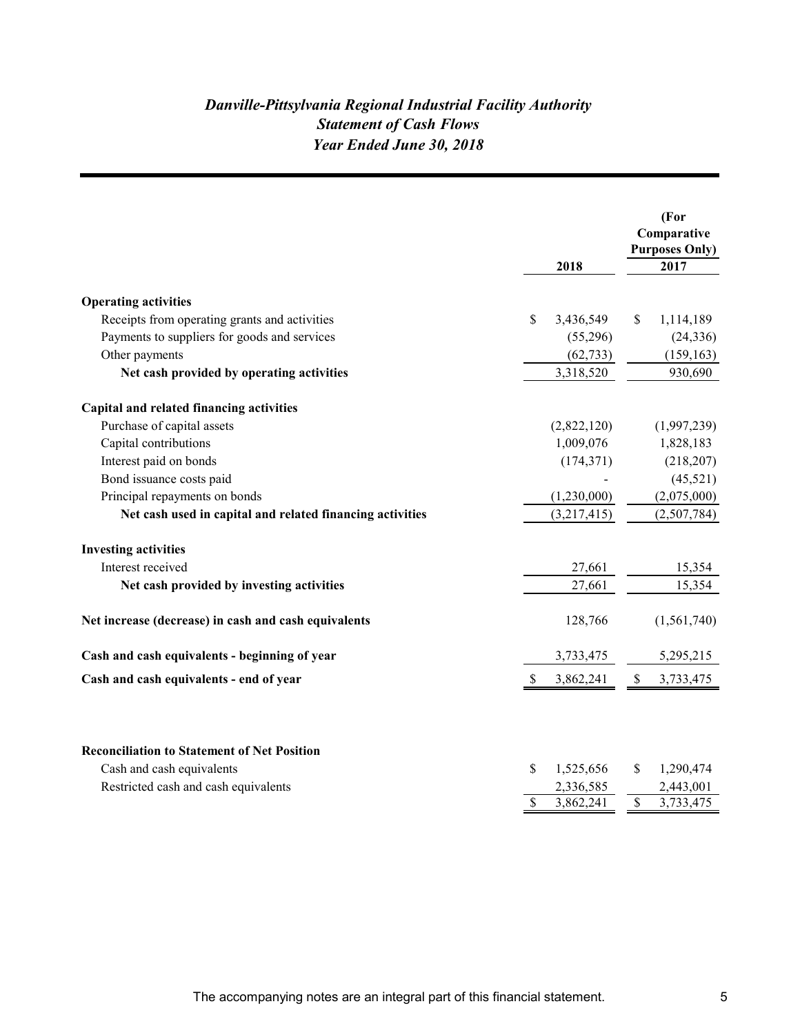# *Danville-Pittsylvania Regional Industrial Facility Authority Year Ended June 30, 2018 Statement of Cash Flows*

|                                                                                 |                 | (For<br>Comparative<br><b>Purposes Only)</b> |
|---------------------------------------------------------------------------------|-----------------|----------------------------------------------|
|                                                                                 | 2018            | 2017                                         |
|                                                                                 |                 |                                              |
| <b>Operating activities</b>                                                     |                 |                                              |
| Receipts from operating grants and activities                                   | \$<br>3,436,549 | \$<br>1,114,189                              |
| Payments to suppliers for goods and services                                    | (55,296)        | (24, 336)                                    |
| Other payments                                                                  | (62, 733)       | (159, 163)                                   |
| Net cash provided by operating activities                                       | 3,318,520       | 930,690                                      |
| Capital and related financing activities                                        |                 |                                              |
| Purchase of capital assets                                                      | (2,822,120)     | (1,997,239)                                  |
| Capital contributions                                                           | 1,009,076       | 1,828,183                                    |
| Interest paid on bonds                                                          | (174, 371)      | (218, 207)                                   |
| Bond issuance costs paid                                                        |                 | (45,521)                                     |
| Principal repayments on bonds                                                   | (1,230,000)     | (2,075,000)                                  |
| Net cash used in capital and related financing activities                       | (3,217,415)     | (2,507,784)                                  |
| <b>Investing activities</b>                                                     |                 |                                              |
| Interest received                                                               | 27,661          | 15,354                                       |
| Net cash provided by investing activities                                       | 27,661          | 15,354                                       |
| Net increase (decrease) in cash and cash equivalents                            | 128,766         | (1,561,740)                                  |
| Cash and cash equivalents - beginning of year                                   | 3,733,475       | 5,295,215                                    |
| Cash and cash equivalents - end of year                                         | 3,862,241<br>S  | 3,733,475<br>\$                              |
| <b>Reconciliation to Statement of Net Position</b><br>Cash and cash equivalents | \$<br>1,525,656 | \$<br>1,290,474                              |
| Restricted cash and cash equivalents                                            | 2,336,585       | 2,443,001                                    |
|                                                                                 | \$<br>3,862,241 | $\overline{\mathbb{S}}$<br>3,733,475         |
|                                                                                 |                 |                                              |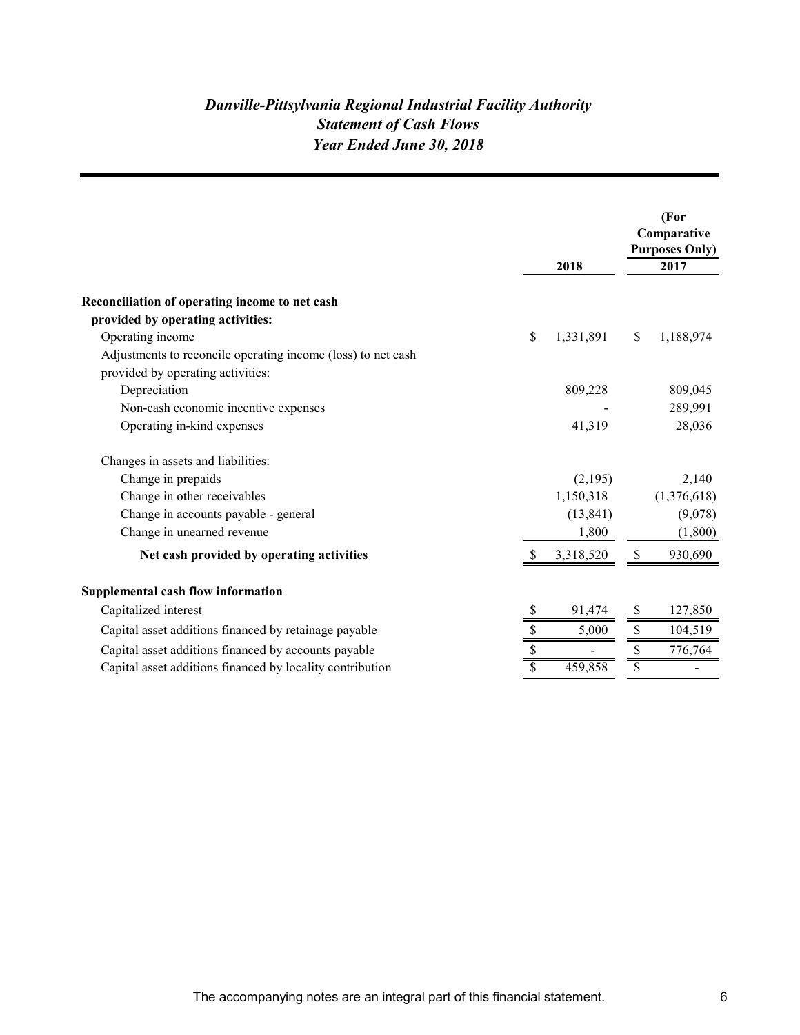# *Danville-Pittsylvania Regional Industrial Facility Authority Year Ended June 30, 2018 Statement of Cash Flows*

|                                                                                                         |                 |    | (For<br>Comparative<br><b>Purposes Only)</b> |
|---------------------------------------------------------------------------------------------------------|-----------------|----|----------------------------------------------|
|                                                                                                         | 2018            |    | 2017                                         |
| Reconciliation of operating income to net cash<br>provided by operating activities:<br>Operating income | \$<br>1,331,891 | \$ | 1,188,974                                    |
| Adjustments to reconcile operating income (loss) to net cash                                            |                 |    |                                              |
| provided by operating activities:                                                                       |                 |    |                                              |
| Depreciation                                                                                            | 809,228         |    | 809,045                                      |
| Non-cash economic incentive expenses                                                                    |                 |    | 289,991                                      |
| Operating in-kind expenses                                                                              | 41,319          |    | 28,036                                       |
| Changes in assets and liabilities:                                                                      |                 |    |                                              |
| Change in prepaids                                                                                      | (2,195)         |    | 2,140                                        |
| Change in other receivables                                                                             | 1,150,318       |    | (1,376,618)                                  |
| Change in accounts payable - general                                                                    | (13, 841)       |    | (9,078)                                      |
| Change in unearned revenue                                                                              | 1,800           |    | (1,800)                                      |
| Net cash provided by operating activities                                                               | 3,318,520       |    | 930,690                                      |
| <b>Supplemental cash flow information</b>                                                               |                 |    |                                              |
| Capitalized interest                                                                                    | 91,474          | S  | 127,850                                      |
| Capital asset additions financed by retainage payable                                                   | \$<br>5,000     |    | 104,519                                      |
| Capital asset additions financed by accounts payable                                                    |                 |    | 776,764                                      |
| Capital asset additions financed by locality contribution                                               | 459,858         |    |                                              |
|                                                                                                         |                 |    |                                              |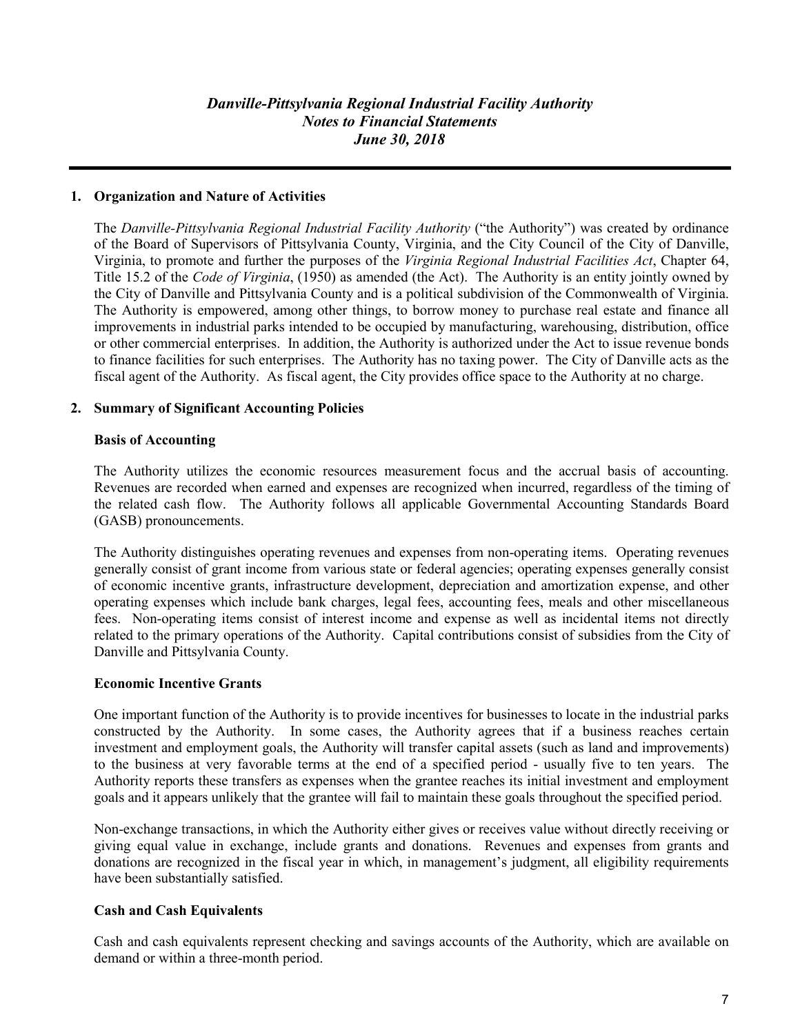# **1. Organization and Nature of Activities**

The *Danville-Pittsylvania Regional Industrial Facility Authority* ("the Authority") was created by ordinance of the Board of Supervisors of Pittsylvania County, Virginia, and the City Council of the City of Danville, Virginia, to promote and further the purposes of the *Virginia Regional Industrial Facilities Act*, Chapter 64, Title 15.2 of the *Code of Virginia*, (1950) as amended (the Act). The Authority is an entity jointly owned by the City of Danville and Pittsylvania County and is a political subdivision of the Commonwealth of Virginia. The Authority is empowered, among other things, to borrow money to purchase real estate and finance all improvements in industrial parks intended to be occupied by manufacturing, warehousing, distribution, office or other commercial enterprises. In addition, the Authority is authorized under the Act to issue revenue bonds to finance facilities for such enterprises. The Authority has no taxing power. The City of Danville acts as the fiscal agent of the Authority. As fiscal agent, the City provides office space to the Authority at no charge.

# **2. Summary of Significant Accounting Policies**

## **Basis of Accounting**

The Authority utilizes the economic resources measurement focus and the accrual basis of accounting. Revenues are recorded when earned and expenses are recognized when incurred, regardless of the timing of the related cash flow. The Authority follows all applicable Governmental Accounting Standards Board (GASB) pronouncements.

The Authority distinguishes operating revenues and expenses from non-operating items. Operating revenues generally consist of grant income from various state or federal agencies; operating expenses generally consist of economic incentive grants, infrastructure development, depreciation and amortization expense, and other operating expenses which include bank charges, legal fees, accounting fees, meals and other miscellaneous fees. Non-operating items consist of interest income and expense as well as incidental items not directly related to the primary operations of the Authority. Capital contributions consist of subsidies from the City of Danville and Pittsylvania County.

## **Economic Incentive Grants**

One important function of the Authority is to provide incentives for businesses to locate in the industrial parks constructed by the Authority. In some cases, the Authority agrees that if a business reaches certain investment and employment goals, the Authority will transfer capital assets (such as land and improvements) to the business at very favorable terms at the end of a specified period - usually five to ten years. The Authority reports these transfers as expenses when the grantee reaches its initial investment and employment goals and it appears unlikely that the grantee will fail to maintain these goals throughout the specified period.

Non-exchange transactions, in which the Authority either gives or receives value without directly receiving or giving equal value in exchange, include grants and donations. Revenues and expenses from grants and donations are recognized in the fiscal year in which, in management's judgment, all eligibility requirements have been substantially satisfied.

# **Cash and Cash Equivalents**

Cash and cash equivalents represent checking and savings accounts of the Authority, which are available on demand or within a three-month period.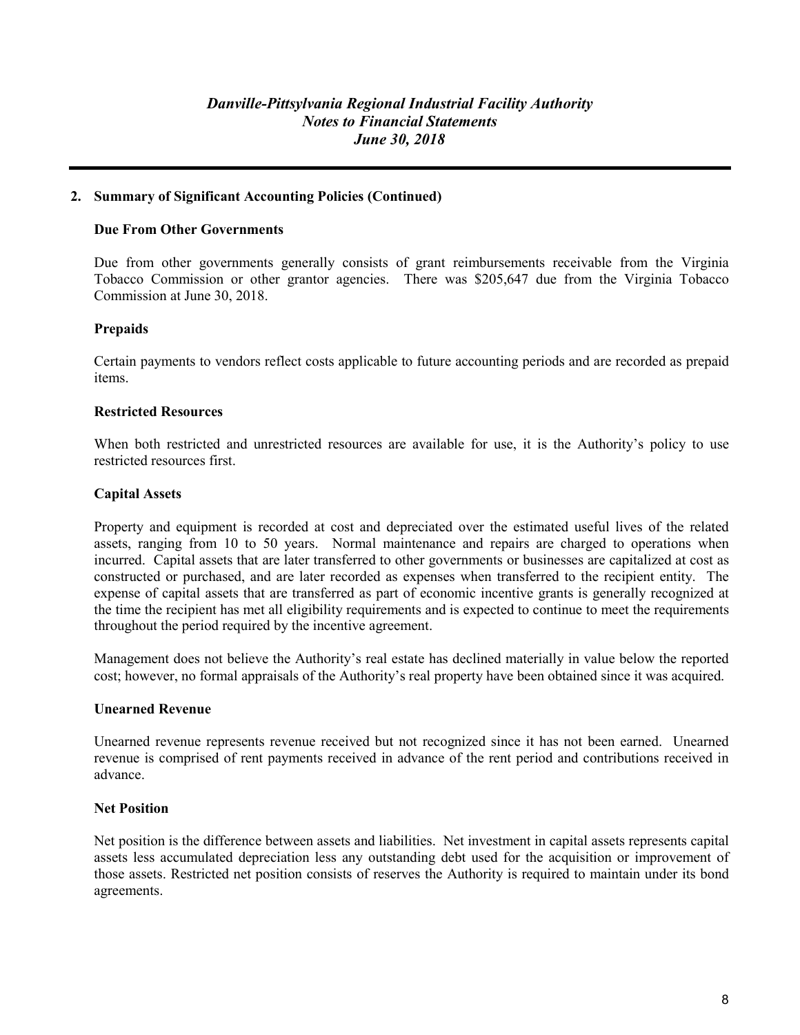## **2. Summary of Significant Accounting Policies (Continued)**

## **Due From Other Governments**

Due from other governments generally consists of grant reimbursements receivable from the Virginia Tobacco Commission or other grantor agencies. There was \$205,647 due from the Virginia Tobacco Commission at June 30, 2018.

# **Prepaids**

Certain payments to vendors reflect costs applicable to future accounting periods and are recorded as prepaid items.

## **Restricted Resources**

When both restricted and unrestricted resources are available for use, it is the Authority's policy to use restricted resources first.

## **Capital Assets**

Property and equipment is recorded at cost and depreciated over the estimated useful lives of the related assets, ranging from 10 to 50 years. Normal maintenance and repairs are charged to operations when incurred. Capital assets that are later transferred to other governments or businesses are capitalized at cost as constructed or purchased, and are later recorded as expenses when transferred to the recipient entity. The expense of capital assets that are transferred as part of economic incentive grants is generally recognized at the time the recipient has met all eligibility requirements and is expected to continue to meet the requirements throughout the period required by the incentive agreement.

Management does not believe the Authority's real estate has declined materially in value below the reported cost; however, no formal appraisals of the Authority's real property have been obtained since it was acquired.

## **Unearned Revenue**

Unearned revenue represents revenue received but not recognized since it has not been earned. Unearned revenue is comprised of rent payments received in advance of the rent period and contributions received in advance.

## **Net Position**

Net position is the difference between assets and liabilities. Net investment in capital assets represents capital assets less accumulated depreciation less any outstanding debt used for the acquisition or improvement of those assets. Restricted net position consists of reserves the Authority is required to maintain under its bond agreements.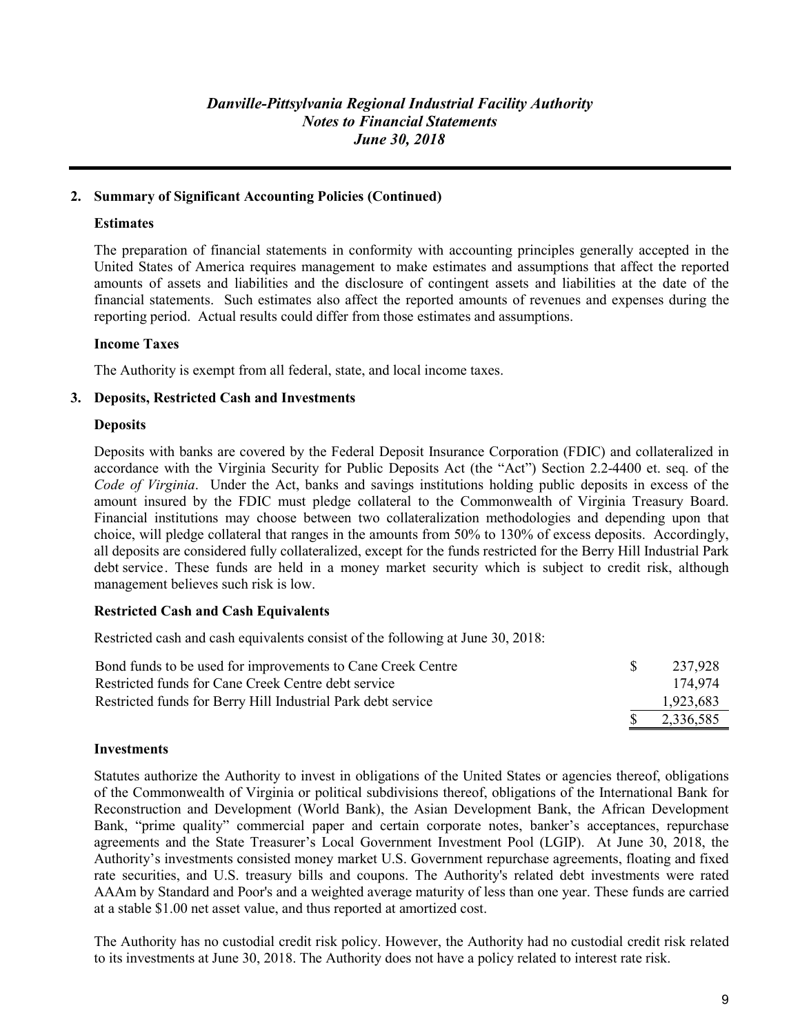# **2. Summary of Significant Accounting Policies (Continued)**

# **Estimates**

The preparation of financial statements in conformity with accounting principles generally accepted in the United States of America requires management to make estimates and assumptions that affect the reported amounts of assets and liabilities and the disclosure of contingent assets and liabilities at the date of the financial statements. Such estimates also affect the reported amounts of revenues and expenses during the reporting period. Actual results could differ from those estimates and assumptions.

## **Income Taxes**

The Authority is exempt from all federal, state, and local income taxes.

## **3. Deposits, Restricted Cash and Investments**

## **Deposits**

Deposits with banks are covered by the Federal Deposit Insurance Corporation (FDIC) and collateralized in accordance with the Virginia Security for Public Deposits Act (the "Act") Section 2.2-4400 et. seq. of the *Code of Virginia*. Under the Act, banks and savings institutions holding public deposits in excess of the amount insured by the FDIC must pledge collateral to the Commonwealth of Virginia Treasury Board. Financial institutions may choose between two collateralization methodologies and depending upon that choice, will pledge collateral that ranges in the amounts from 50% to 130% of excess deposits. Accordingly, all deposits are considered fully collateralized, except for the funds restricted for the Berry Hill Industrial Park debt service. These funds are held in a money market security which is subject to credit risk, although management believes such risk is low.

## **Restricted Cash and Cash Equivalents**

Restricted cash and cash equivalents consist of the following at June 30, 2018:

| Bond funds to be used for improvements to Cane Creek Centre  | 237.928   |
|--------------------------------------------------------------|-----------|
| Restricted funds for Cane Creek Centre debt service          | 174.974   |
| Restricted funds for Berry Hill Industrial Park debt service | 1,923,683 |
|                                                              | 2,336,585 |

## **Investments**

Statutes authorize the Authority to invest in obligations of the United States or agencies thereof, obligations of the Commonwealth of Virginia or political subdivisions thereof, obligations of the International Bank for Reconstruction and Development (World Bank), the Asian Development Bank, the African Development Bank, "prime quality" commercial paper and certain corporate notes, banker's acceptances, repurchase agreements and the State Treasurer's Local Government Investment Pool (LGIP). At June 30, 2018, the Authority's investments consisted money market U.S. Government repurchase agreements, floating and fixed rate securities, and U.S. treasury bills and coupons. The Authority's related debt investments were rated AAAm by Standard and Poor's and a weighted average maturity of less than one year. These funds are carried at a stable \$1.00 net asset value, and thus reported at amortized cost.

The Authority has no custodial credit risk policy. However, the Authority had no custodial credit risk related to its investments at June 30, 2018. The Authority does not have a policy related to interest rate risk.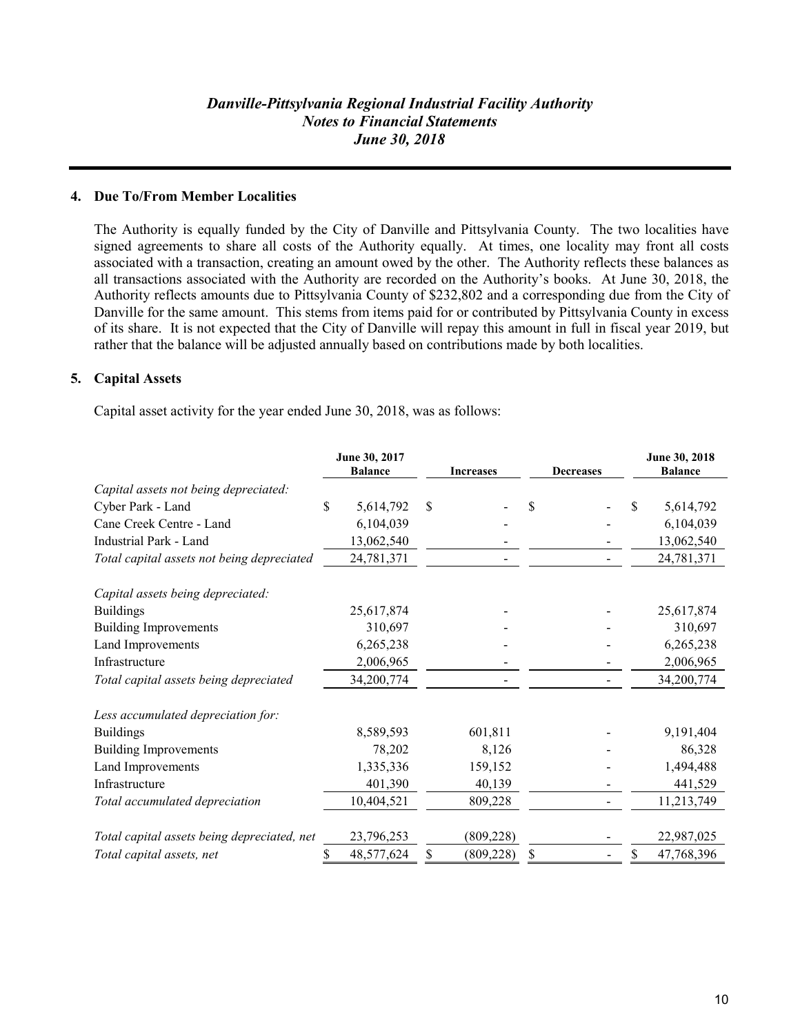## **4. Due To/From Member Localities**

The Authority is equally funded by the City of Danville and Pittsylvania County. The two localities have signed agreements to share all costs of the Authority equally. At times, one locality may front all costs associated with a transaction, creating an amount owed by the other. The Authority reflects these balances as all transactions associated with the Authority are recorded on the Authority's books. At June 30, 2018, the Authority reflects amounts due to Pittsylvania County of \$232,802 and a corresponding due from the City of Danville for the same amount. This stems from items paid for or contributed by Pittsylvania County in excess of its share. It is not expected that the City of Danville will repay this amount in full in fiscal year 2019, but rather that the balance will be adjusted annually based on contributions made by both localities.

## **5. Capital Assets**

Capital asset activity for the year ended June 30, 2018, was as follows:

|                                             | June 30, 2017<br><b>Balance</b> | <b>Increases</b> | <b>Decreases</b> | June 30, 2018<br><b>Balance</b> |
|---------------------------------------------|---------------------------------|------------------|------------------|---------------------------------|
| Capital assets not being depreciated:       |                                 |                  |                  |                                 |
| Cyber Park - Land                           | \$<br>5,614,792                 | \$               | \$               | \$<br>5,614,792                 |
| Cane Creek Centre - Land                    | 6,104,039                       |                  |                  | 6,104,039                       |
| Industrial Park - Land                      | 13,062,540                      |                  |                  | 13,062,540                      |
| Total capital assets not being depreciated  | 24,781,371                      |                  |                  | 24,781,371                      |
| Capital assets being depreciated:           |                                 |                  |                  |                                 |
| <b>Buildings</b>                            | 25,617,874                      |                  |                  | 25,617,874                      |
| <b>Building Improvements</b>                | 310,697                         |                  |                  | 310,697                         |
| Land Improvements                           | 6,265,238                       |                  |                  | 6,265,238                       |
| Infrastructure                              | 2,006,965                       |                  |                  | 2,006,965                       |
| Total capital assets being depreciated      | 34,200,774                      |                  |                  | 34,200,774                      |
| Less accumulated depreciation for:          |                                 |                  |                  |                                 |
| <b>Buildings</b>                            | 8,589,593                       | 601,811          |                  | 9,191,404                       |
| <b>Building Improvements</b>                | 78,202                          | 8,126            |                  | 86,328                          |
| Land Improvements                           | 1,335,336                       | 159,152          |                  | 1,494,488                       |
| Infrastructure                              | 401,390                         | 40,139           |                  | 441,529                         |
| Total accumulated depreciation              | 10,404,521                      | 809,228          |                  | 11,213,749                      |
| Total capital assets being depreciated, net | 23,796,253                      | (809, 228)       |                  | 22,987,025                      |
| Total capital assets, net                   | \$<br>48,577,624                | \$<br>(809, 228) | \$               | \$<br>47,768,396                |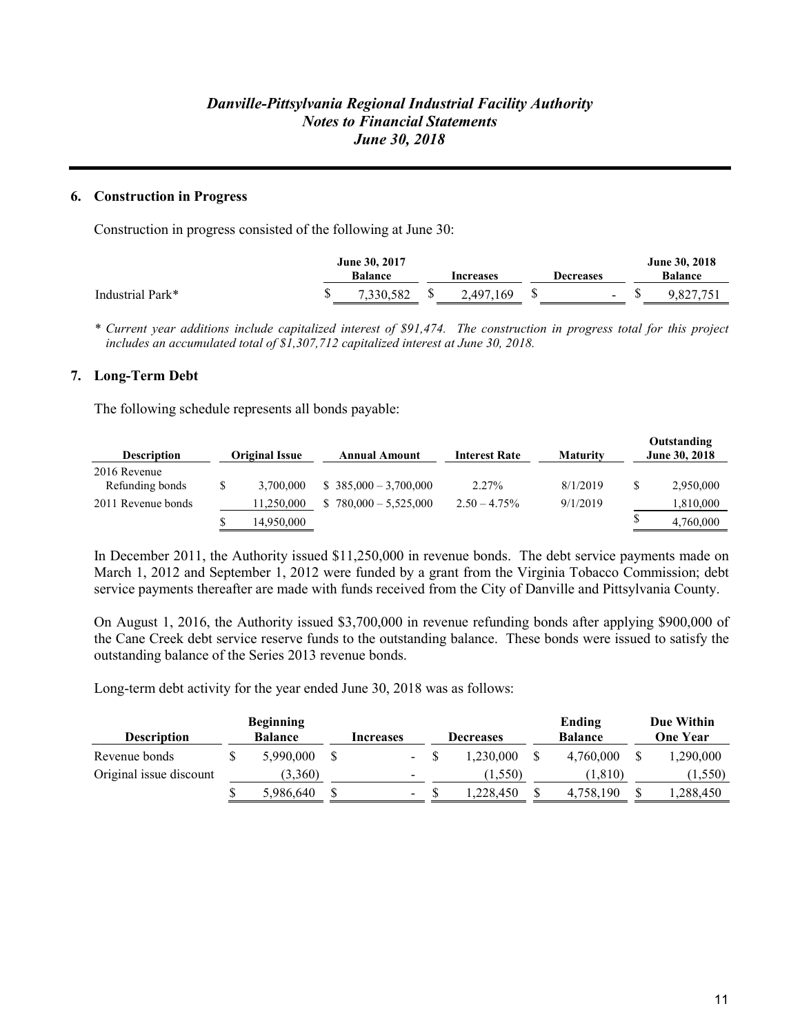# **6. Construction in Progress**

Construction in progress consisted of the following at June 30:

|                  | June 30, 2017 |                |  |                  |                  | June 30, 2018 |                |  |
|------------------|---------------|----------------|--|------------------|------------------|---------------|----------------|--|
|                  |               | <b>Balance</b> |  | <b>Increases</b> | <b>Decreases</b> |               | <b>Balance</b> |  |
| Industrial Park* |               | 7,330,582      |  | 2.497.169        | $\sim$           | Φ             | 9.827.751      |  |

*\* Current year additions include capitalized interest of \$91,474. The construction in progress total for this project includes an accumulated total of \$1,307,712 capitalized interest at June 30, 2018.*

#### **7. Long-Term Debt**

The following schedule represents all bonds payable:

| <b>Description</b>              | <b>Original Issue</b> | Annual Amount          | <b>Interest Rate</b> | <b>Maturity</b> | Outstanding<br>June 30, 2018 |
|---------------------------------|-----------------------|------------------------|----------------------|-----------------|------------------------------|
| 2016 Revenue<br>Refunding bonds | 3.700,000             | $$385,000 - 3,700,000$ | $2.27\%$             | 8/1/2019        | 2,950,000                    |
|                                 |                       |                        |                      |                 |                              |
| 2011 Revenue bonds              | 11,250,000            | $780,000 - 5,525,000$  | $2.50 - 4.75\%$      | 9/1/2019        | 1,810,000                    |
|                                 | 14,950,000            |                        |                      |                 | 4,760,000                    |

In December 2011, the Authority issued \$11,250,000 in revenue bonds. The debt service payments made on March 1, 2012 and September 1, 2012 were funded by a grant from the Virginia Tobacco Commission; debt service payments thereafter are made with funds received from the City of Danville and Pittsylvania County.

On August 1, 2016, the Authority issued \$3,700,000 in revenue refunding bonds after applying \$900,000 of the Cane Creek debt service reserve funds to the outstanding balance. These bonds were issued to satisfy the outstanding balance of the Series 2013 revenue bonds.

Long-term debt activity for the year ended June 30, 2018 was as follows:

| <b>Description</b>      | <b>Beginning</b><br><b>Balance</b> | Increases                | <b>Decreases</b> |   | Ending<br><b>Balance</b> | Due Within<br><b>One Year</b> |
|-------------------------|------------------------------------|--------------------------|------------------|---|--------------------------|-------------------------------|
| Revenue bonds           | 5,990,000                          | $\overline{\phantom{a}}$ | 1.230.000        |   | 4,760,000                | 1,290,000                     |
| Original issue discount | (3,360)                            | -                        | (1, 550)         |   | (1,810)                  | (1,550)                       |
|                         | 5,986,640                          | \$<br>$\blacksquare$     | .228.450         | S | 4,758,190                | 1,288,450                     |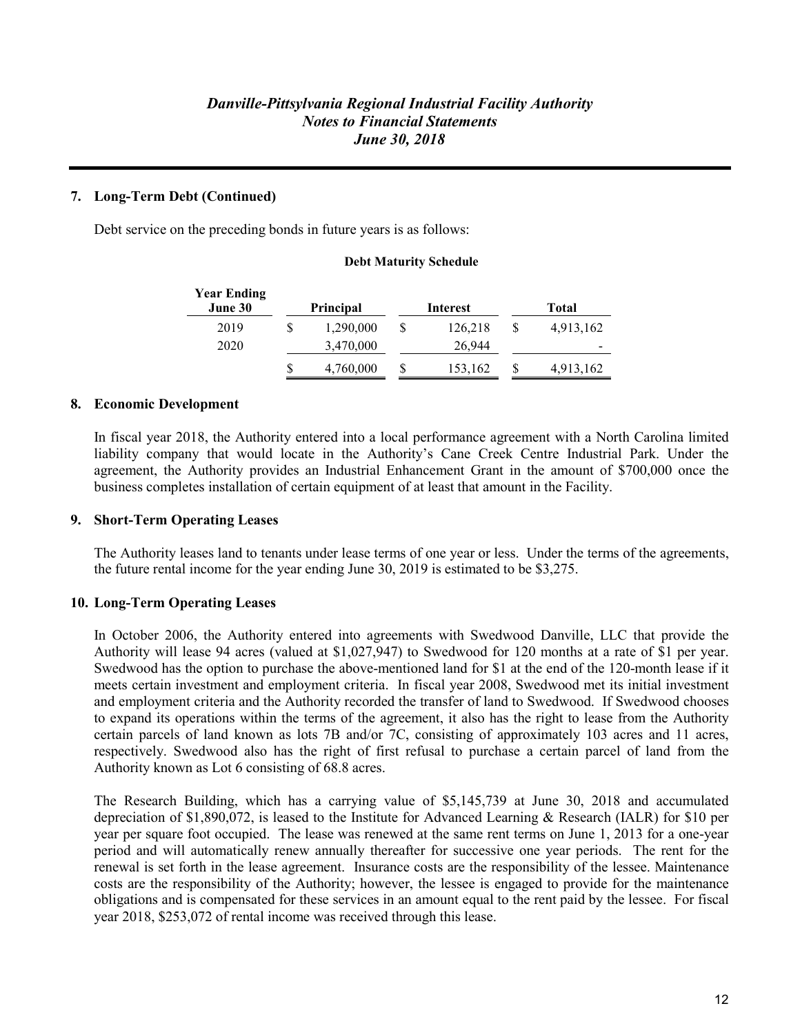# **7. Long-Term Debt (Continued)**

Debt service on the preceding bonds in future years is as follows:

#### **Debt Maturity Schedule**

| <b>Year Ending</b><br>June 30 | <b>Principal</b> | Interest |   | Total     |
|-------------------------------|------------------|----------|---|-----------|
| 2019                          | 1,290,000        | 126,218  |   | 4,913,162 |
| 2020                          | 3,470,000        | 26,944   |   | -         |
|                               | 4,760,000        | 153,162  | S | 4,913,162 |

#### **8. Economic Development**

In fiscal year 2018, the Authority entered into a local performance agreement with a North Carolina limited liability company that would locate in the Authority's Cane Creek Centre Industrial Park. Under the agreement, the Authority provides an Industrial Enhancement Grant in the amount of \$700,000 once the business completes installation of certain equipment of at least that amount in the Facility.

#### **9. Short-Term Operating Leases**

The Authority leases land to tenants under lease terms of one year or less. Under the terms of the agreements, the future rental income for the year ending June 30, 2019 is estimated to be \$3,275.

## **10. Long-Term Operating Leases**

In October 2006, the Authority entered into agreements with Swedwood Danville, LLC that provide the Authority will lease 94 acres (valued at \$1,027,947) to Swedwood for 120 months at a rate of \$1 per year. Swedwood has the option to purchase the above-mentioned land for \$1 at the end of the 120-month lease if it meets certain investment and employment criteria. In fiscal year 2008, Swedwood met its initial investment and employment criteria and the Authority recorded the transfer of land to Swedwood. If Swedwood chooses to expand its operations within the terms of the agreement, it also has the right to lease from the Authority certain parcels of land known as lots 7B and/or 7C, consisting of approximately 103 acres and 11 acres, respectively. Swedwood also has the right of first refusal to purchase a certain parcel of land from the Authority known as Lot 6 consisting of 68.8 acres.

The Research Building, which has a carrying value of \$5,145,739 at June 30, 2018 and accumulated depreciation of \$1,890,072, is leased to the Institute for Advanced Learning & Research (IALR) for \$10 per year per square foot occupied. The lease was renewed at the same rent terms on June 1, 2013 for a one-year period and will automatically renew annually thereafter for successive one year periods. The rent for the renewal is set forth in the lease agreement. Insurance costs are the responsibility of the lessee. Maintenance costs are the responsibility of the Authority; however, the lessee is engaged to provide for the maintenance obligations and is compensated for these services in an amount equal to the rent paid by the lessee. For fiscal year 2018, \$253,072 of rental income was received through this lease.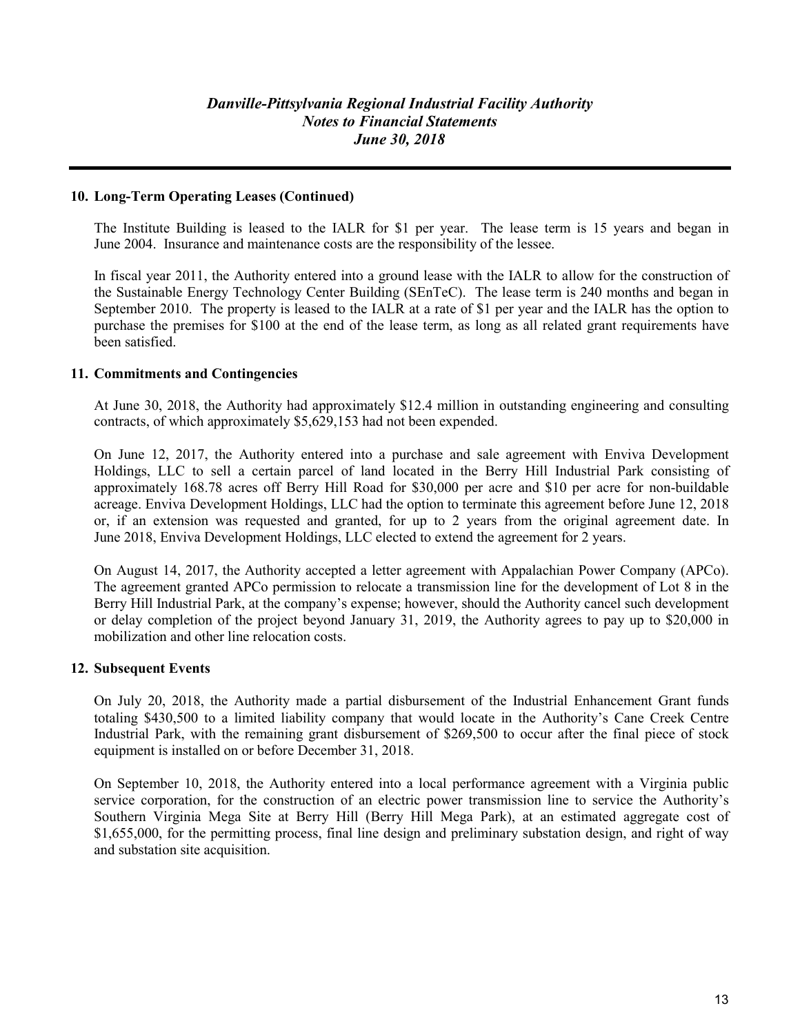## **10. Long-Term Operating Leases (Continued)**

The Institute Building is leased to the IALR for \$1 per year. The lease term is 15 years and began in June 2004. Insurance and maintenance costs are the responsibility of the lessee.

In fiscal year 2011, the Authority entered into a ground lease with the IALR to allow for the construction of the Sustainable Energy Technology Center Building (SEnTeC). The lease term is 240 months and began in September 2010. The property is leased to the IALR at a rate of \$1 per year and the IALR has the option to purchase the premises for \$100 at the end of the lease term, as long as all related grant requirements have been satisfied.

## **11. Commitments and Contingencies**

At June 30, 2018, the Authority had approximately \$12.4 million in outstanding engineering and consulting contracts, of which approximately \$5,629,153 had not been expended.

On June 12, 2017, the Authority entered into a purchase and sale agreement with Enviva Development Holdings, LLC to sell a certain parcel of land located in the Berry Hill Industrial Park consisting of approximately 168.78 acres off Berry Hill Road for \$30,000 per acre and \$10 per acre for non-buildable acreage. Enviva Development Holdings, LLC had the option to terminate this agreement before June 12, 2018 or, if an extension was requested and granted, for up to 2 years from the original agreement date. In June 2018, Enviva Development Holdings, LLC elected to extend the agreement for 2 years.

On August 14, 2017, the Authority accepted a letter agreement with Appalachian Power Company (APCo). The agreement granted APCo permission to relocate a transmission line for the development of Lot 8 in the Berry Hill Industrial Park, at the company's expense; however, should the Authority cancel such development or delay completion of the project beyond January 31, 2019, the Authority agrees to pay up to \$20,000 in mobilization and other line relocation costs.

## **12. Subsequent Events**

On July 20, 2018, the Authority made a partial disbursement of the Industrial Enhancement Grant funds totaling \$430,500 to a limited liability company that would locate in the Authority's Cane Creek Centre Industrial Park, with the remaining grant disbursement of \$269,500 to occur after the final piece of stock equipment is installed on or before December 31, 2018.

On September 10, 2018, the Authority entered into a local performance agreement with a Virginia public service corporation, for the construction of an electric power transmission line to service the Authority's Southern Virginia Mega Site at Berry Hill (Berry Hill Mega Park), at an estimated aggregate cost of \$1,655,000, for the permitting process, final line design and preliminary substation design, and right of way and substation site acquisition.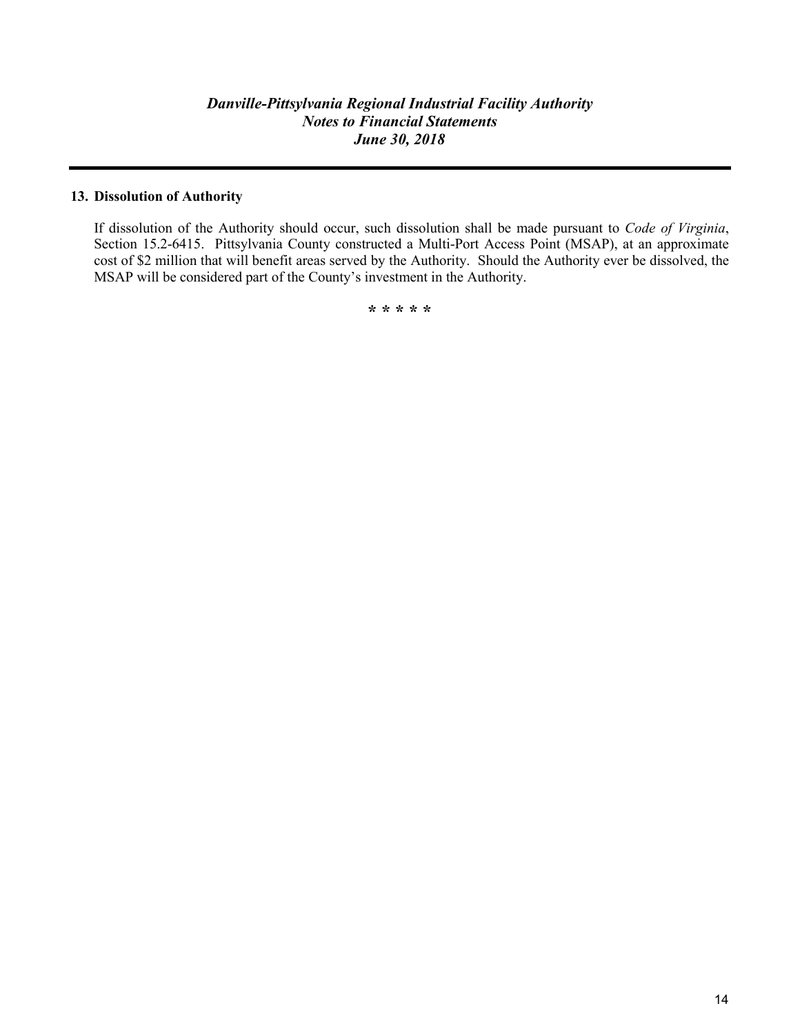# **13. Dissolution of Authority**

If dissolution of the Authority should occur, such dissolution shall be made pursuant to *Code of Virginia*, Section 15.2-6415. Pittsylvania County constructed a Multi-Port Access Point (MSAP), at an approximate cost of \$2 million that will benefit areas served by the Authority. Should the Authority ever be dissolved, the MSAP will be considered part of the County's investment in the Authority.

**\* \* \* \* \***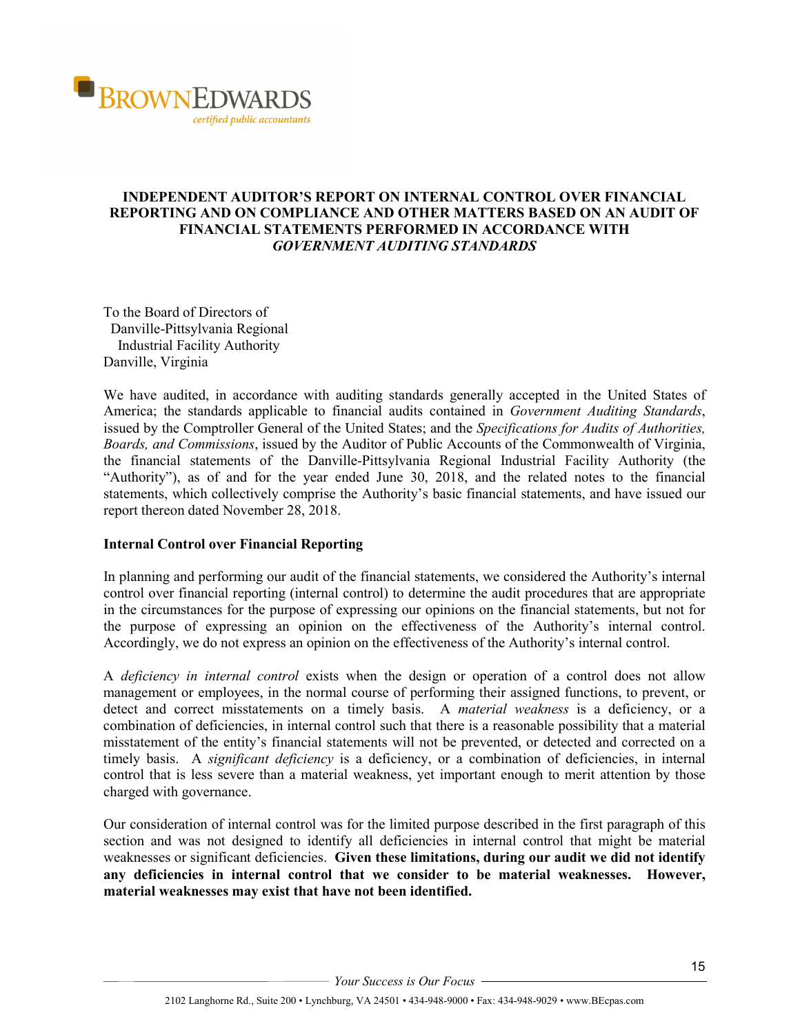

# **INDEPENDENT AUDITOR'S REPORT ON INTERNAL CONTROL OVER FINANCIAL REPORTING AND ON COMPLIANCE AND OTHER MATTERS BASED ON AN AUDIT OF FINANCIAL STATEMENTS PERFORMED IN ACCORDANCE WITH** *GOVERNMENT AUDITING STANDARDS*

To the Board of Directors of Danville-Pittsylvania Regional Industrial Facility Authority Danville, Virginia

We have audited, in accordance with auditing standards generally accepted in the United States of America; the standards applicable to financial audits contained in *Government Auditing Standards*, issued by the Comptroller General of the United States; and the *Specifications for Audits of Authorities, Boards, and Commissions*, issued by the Auditor of Public Accounts of the Commonwealth of Virginia, the financial statements of the Danville-Pittsylvania Regional Industrial Facility Authority (the "Authority"), as of and for the year ended June 30, 2018, and the related notes to the financial statements, which collectively comprise the Authority's basic financial statements, and have issued our report thereon dated November 28, 2018.

#### **Internal Control over Financial Reporting**

In planning and performing our audit of the financial statements, we considered the Authority's internal control over financial reporting (internal control) to determine the audit procedures that are appropriate in the circumstances for the purpose of expressing our opinions on the financial statements, but not for the purpose of expressing an opinion on the effectiveness of the Authority's internal control. Accordingly, we do not express an opinion on the effectiveness of the Authority's internal control.

A *deficiency in internal control* exists when the design or operation of a control does not allow management or employees, in the normal course of performing their assigned functions, to prevent, or detect and correct misstatements on a timely basis. A *material weakness* is a deficiency, or a combination of deficiencies, in internal control such that there is a reasonable possibility that a material misstatement of the entity's financial statements will not be prevented, or detected and corrected on a timely basis. A *significant deficiency* is a deficiency, or a combination of deficiencies, in internal control that is less severe than a material weakness, yet important enough to merit attention by those charged with governance.

Our consideration of internal control was for the limited purpose described in the first paragraph of this section and was not designed to identify all deficiencies in internal control that might be material weaknesses or significant deficiencies. **Given these limitations, during our audit we did not identify any deficiencies in internal control that we consider to be material weaknesses. However, material weaknesses may exist that have not been identified.**

*Your Success is Our Focus*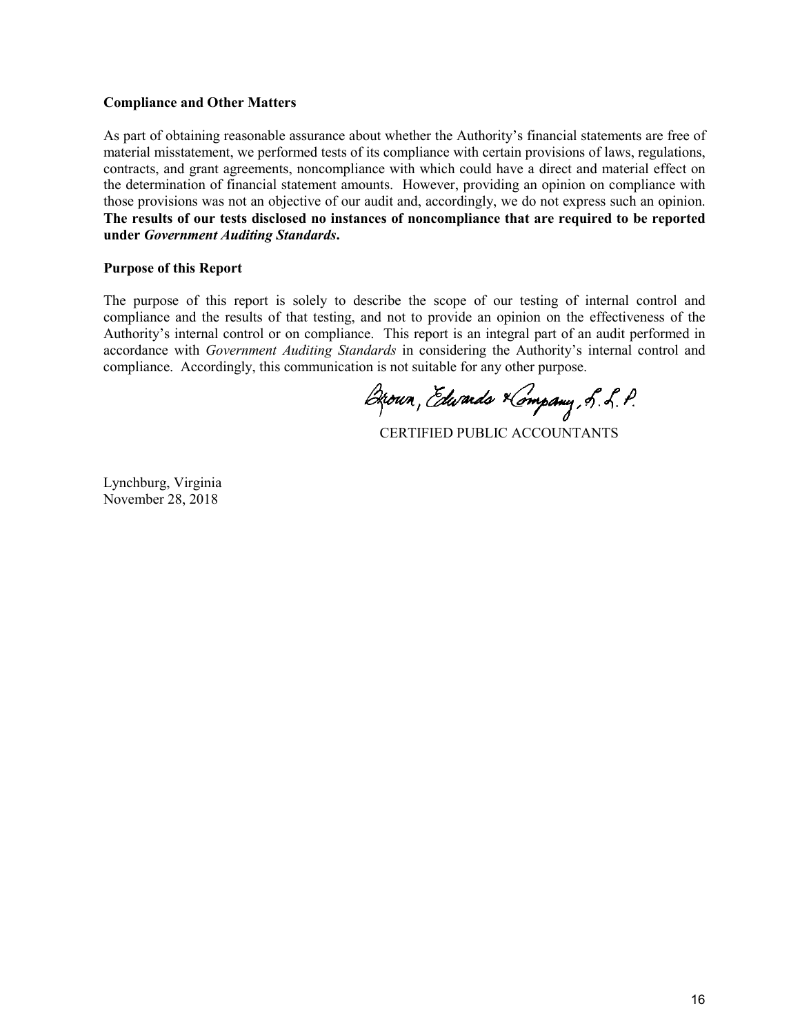#### **Compliance and Other Matters**

As part of obtaining reasonable assurance about whether the Authority's financial statements are free of material misstatement, we performed tests of its compliance with certain provisions of laws, regulations, contracts, and grant agreements, noncompliance with which could have a direct and material effect on the determination of financial statement amounts. However, providing an opinion on compliance with those provisions was not an objective of our audit and, accordingly, we do not express such an opinion. **The results of our tests disclosed no instances of noncompliance that are required to be reported under** *Government Auditing Standards***.** 

#### **Purpose of this Report**

The purpose of this report is solely to describe the scope of our testing of internal control and compliance and the results of that testing, and not to provide an opinion on the effectiveness of the Authority's internal control or on compliance. This report is an integral part of an audit performed in accordance with *Government Auditing Standards* in considering the Authority's internal control and compliance. Accordingly, this communication is not suitable for any other purpose.

Brown, Edwards Kompany, S. L. P.

CERTIFIED PUBLIC ACCOUNTANTS

Lynchburg, Virginia November 28, 2018